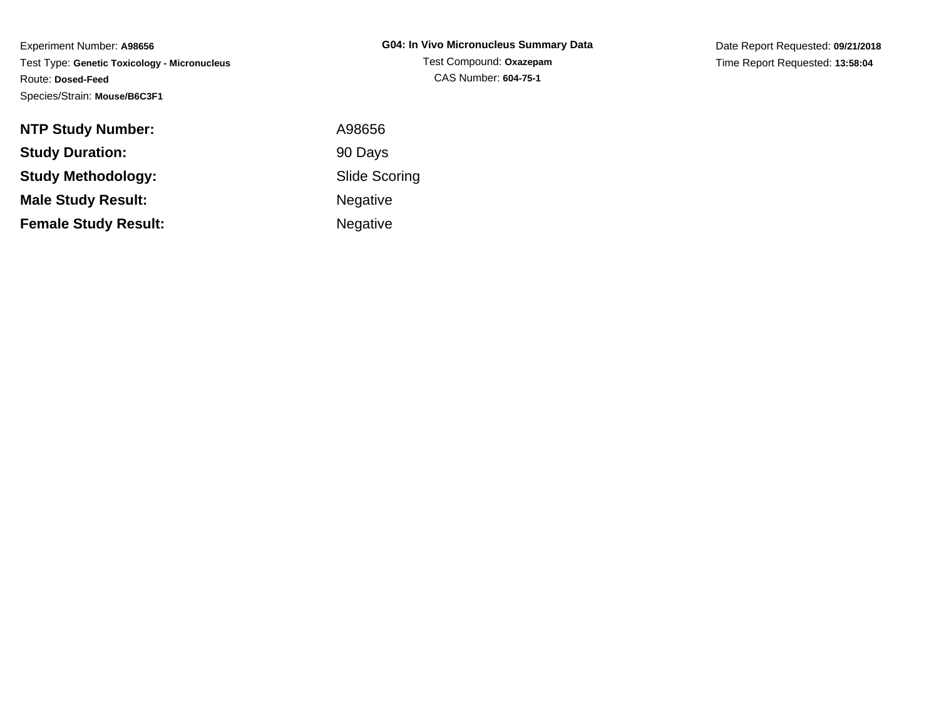Date Report Requested: **09/21/2018**Time Report Requested: **13:58:04**

| <b>NTP Study Number:</b>    | A98656               |
|-----------------------------|----------------------|
| <b>Study Duration:</b>      | 90 Days              |
| Study Methodology:          | <b>Slide Scoring</b> |
| <b>Male Study Result:</b>   | <b>Negative</b>      |
| <b>Female Study Result:</b> | <b>Negative</b>      |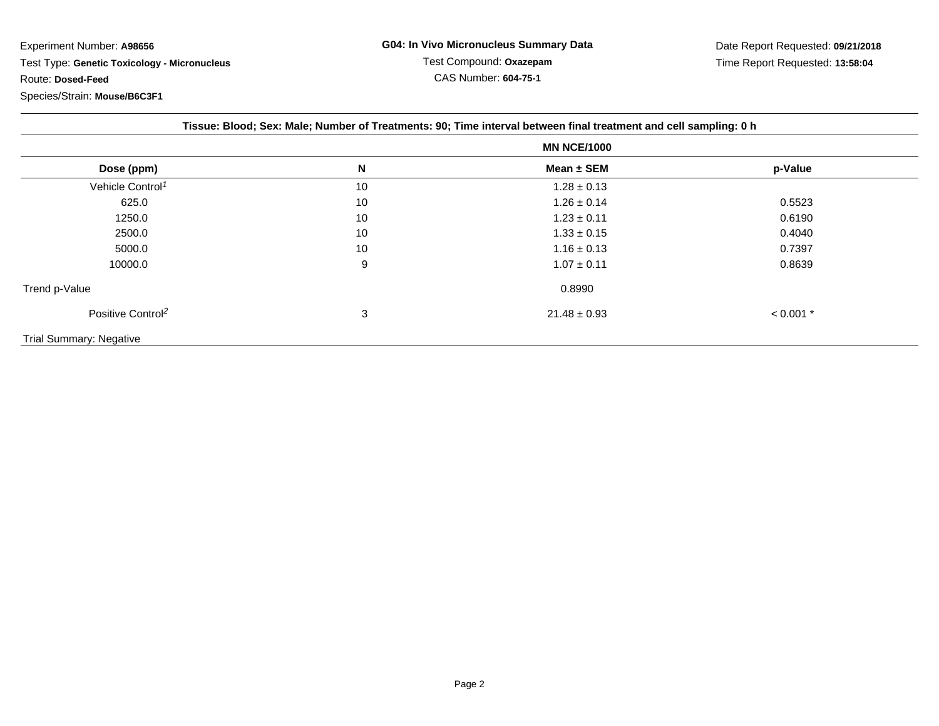| Tissue: Blood; Sex: Male; Number of Treatments: 90; Time interval between final treatment and cell sampling: 0 h |                    |                  |             |  |
|------------------------------------------------------------------------------------------------------------------|--------------------|------------------|-------------|--|
|                                                                                                                  | <b>MN NCE/1000</b> |                  |             |  |
| Dose (ppm)                                                                                                       | N                  | Mean ± SEM       | p-Value     |  |
| Vehicle Control <sup>1</sup>                                                                                     | 10                 | $1.28 \pm 0.13$  |             |  |
| 625.0                                                                                                            | 10                 | $1.26 \pm 0.14$  | 0.5523      |  |
| 1250.0                                                                                                           | 10                 | $1.23 \pm 0.11$  | 0.6190      |  |
| 2500.0                                                                                                           | 10                 | $1.33 \pm 0.15$  | 0.4040      |  |
| 5000.0                                                                                                           | 10                 | $1.16 \pm 0.13$  | 0.7397      |  |
| 10000.0                                                                                                          | 9                  | $1.07 \pm 0.11$  | 0.8639      |  |
| Trend p-Value                                                                                                    |                    | 0.8990           |             |  |
| Positive Control <sup>2</sup>                                                                                    | 3                  | $21.48 \pm 0.93$ | $< 0.001$ * |  |
| <b>Trial Summary: Negative</b>                                                                                   |                    |                  |             |  |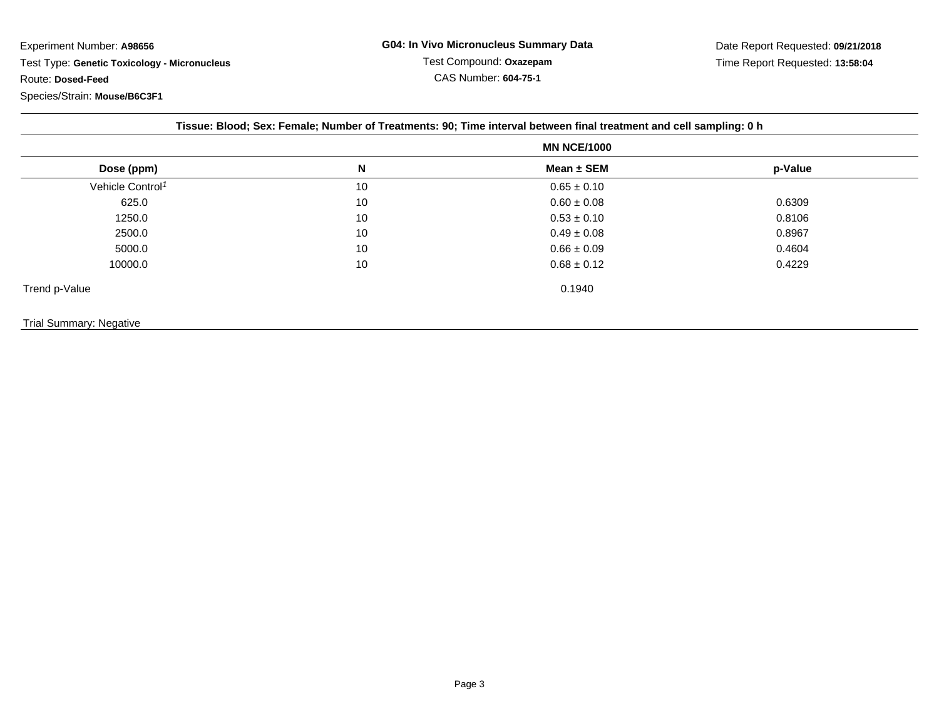|                              | <b>MN NCE/1000</b> |                 |         |
|------------------------------|--------------------|-----------------|---------|
| Dose (ppm)                   | N                  | Mean $\pm$ SEM  | p-Value |
| Vehicle Control <sup>1</sup> | 10                 | $0.65 \pm 0.10$ |         |
| 625.0                        | 10                 | $0.60 \pm 0.08$ | 0.6309  |
| 1250.0                       | 10                 | $0.53 \pm 0.10$ | 0.8106  |
| 2500.0                       | 10                 | $0.49 \pm 0.08$ | 0.8967  |
| 5000.0                       | 10                 | $0.66 \pm 0.09$ | 0.4604  |
| 10000.0                      | 10                 | $0.68 \pm 0.12$ | 0.4229  |
| Trend p-Value                |                    | 0.1940          |         |

## Trial Summary: Negative